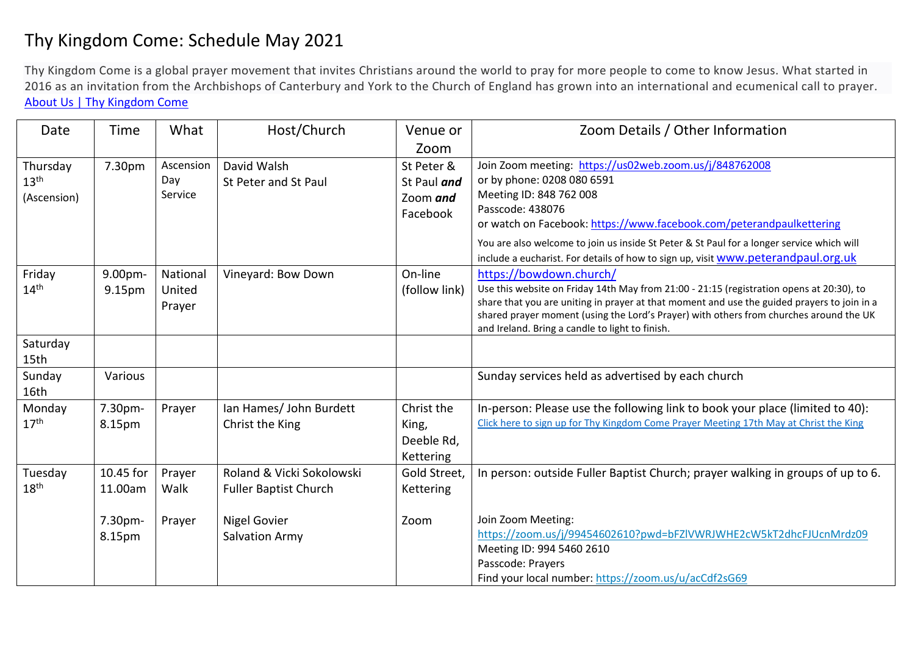## Thy Kingdom Come: Schedule May 2021

Thy Kingdom Come is a global prayer movement that invites Christians around the world to pray for more people to come to know Jesus. What started in 2016 as an invitation from the Archbishops of Canterbury and York to the Church of England has grown into an international and ecumenical call to prayer. [About Us | Thy Kingdom Come](https://www.thykingdomcome.global/about-us)

| Date                                        | Time                 | What                         | Host/Church                                               | Venue or                                          | Zoom Details / Other Information                                                                                                                                                                                                                                                                                                                                                              |
|---------------------------------------------|----------------------|------------------------------|-----------------------------------------------------------|---------------------------------------------------|-----------------------------------------------------------------------------------------------------------------------------------------------------------------------------------------------------------------------------------------------------------------------------------------------------------------------------------------------------------------------------------------------|
|                                             |                      |                              |                                                           | Zoom                                              |                                                                                                                                                                                                                                                                                                                                                                                               |
| Thursday<br>13 <sup>th</sup><br>(Ascension) | 7.30pm               | Ascension<br>Day<br>Service  | David Walsh<br>St Peter and St Paul                       | St Peter &<br>St Paul and<br>Zoom and<br>Facebook | Join Zoom meeting: https://us02web.zoom.us/j/848762008<br>or by phone: 0208 080 6591<br>Meeting ID: 848 762 008<br>Passcode: 438076<br>or watch on Facebook: https://www.facebook.com/peterandpaulkettering<br>You are also welcome to join us inside St Peter & St Paul for a longer service which will<br>include a eucharist. For details of how to sign up, visit www.peterandpaul.org.uk |
| Friday<br>$14^{\text{th}}$                  | 9.00pm-<br>9.15pm    | National<br>United<br>Prayer | Vineyard: Bow Down                                        | On-line<br>(follow link)                          | https://bowdown.church/<br>Use this website on Friday 14th May from 21:00 - 21:15 (registration opens at 20:30), to<br>share that you are uniting in prayer at that moment and use the guided prayers to join in a<br>shared prayer moment (using the Lord's Prayer) with others from churches around the UK<br>and Ireland. Bring a candle to light to finish.                               |
| Saturday<br>15th                            |                      |                              |                                                           |                                                   |                                                                                                                                                                                                                                                                                                                                                                                               |
| Sunday<br>16th                              | Various              |                              |                                                           |                                                   | Sunday services held as advertised by each church                                                                                                                                                                                                                                                                                                                                             |
| Monday<br>17 <sup>th</sup>                  | 7.30pm-<br>8.15pm    | Prayer                       | Ian Hames/ John Burdett<br>Christ the King                | Christ the<br>King,<br>Deeble Rd,<br>Kettering    | In-person: Please use the following link to book your place (limited to 40):<br>Click here to sign up for Thy Kingdom Come Prayer Meeting 17th May at Christ the King                                                                                                                                                                                                                         |
| Tuesday<br>$18^{\sf th}$                    | 10.45 for<br>11.00am | Prayer<br>Walk               | Roland & Vicki Sokolowski<br><b>Fuller Baptist Church</b> | Gold Street,<br>Kettering                         | In person: outside Fuller Baptist Church; prayer walking in groups of up to 6.                                                                                                                                                                                                                                                                                                                |
|                                             | 7.30pm-<br>8.15pm    | Prayer                       | Nigel Govier<br><b>Salvation Army</b>                     | Zoom                                              | Join Zoom Meeting:<br>https://zoom.us/j/99454602610?pwd=bFZIVWRJWHE2cW5kT2dhcFJUcnMrdz09<br>Meeting ID: 994 5460 2610<br>Passcode: Prayers<br>Find your local number: https://zoom.us/u/acCdf2sG69                                                                                                                                                                                            |